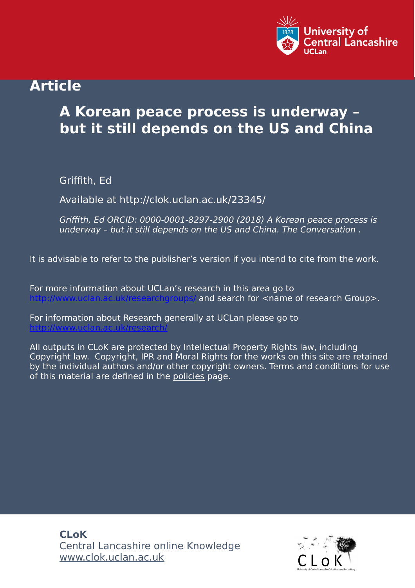

## **Article**

# **A Korean peace process is underway – but it still depends on the US and China**

Griffith, Ed

Available at http://clok.uclan.ac.uk/23345/

Griffith, Ed ORCID: 0000-0001-8297-2900 (2018) A Korean peace process is underway – but it still depends on the US and China. The Conversation .

It is advisable to refer to the publisher's version if you intend to cite from the work.

For more information about UCLan's research in this area go to and search for <name of research Group>.

For information about Research generally at UCLan please go to <http://www.uclan.ac.uk/research/>

All outputs in CLoK are protected by Intellectual Property Rights law, including Copyright law. Copyright, IPR and Moral Rights for the works on this site are retained by the individual authors and/or other copyright owners. Terms and conditions for use of this material are defined in the [policies](https://clok.uclan.ac.uk/policies.html) page.

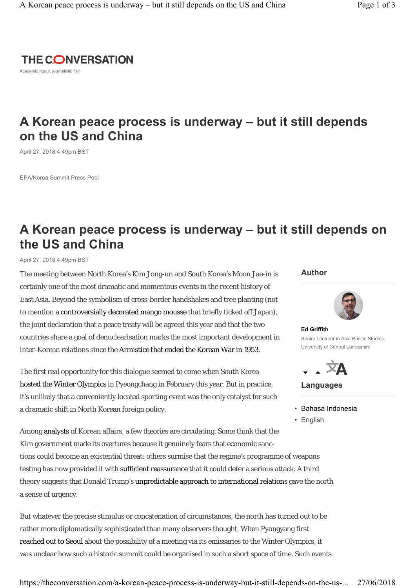

Academic rigour, journalistic flair

### **A Korean peace process is underway – but it still depends on the US and China**

April 27, 2018 4.49pm BST

EPA/Korea Summit Press Pool

### **A Korean peace process is underway – but it still depends on the US and China**

April 27, 2018 4.49pm BST

The meeting between North Korea's Kim Jong-un and South Korea's Moon Jae-in is certainly one of the most dramatic and momentous events in the recent history of East Asia. Beyond the symbolism of cross-border handshakes and tree planting (not to mention a controversially decorated mango mousse that briefly ticked off Japan), the joint declaration that a peace treaty will be agreed this year and that the two countries share a goal of denuclearisation marks the most important development in inter-Korean relations since the Armistice that ended the Korean War in 1953.

The first real opportunity for this dialogue seemed to come when South Korea hosted the Winter Olympics in Pyeongchang in February this year. But in practice, it's unlikely that a conveniently located sporting event was the only catalyst for such a dramatic shift in North Korean foreign policy.

Among analysts of Korean affairs, a few theories are circulating. Some think that the Kim government made its overtures because it genuinely fears that economic sanctions could become an existential threat; others surmise that the regime's programme of weapons testing has now provided it with sufficient reassurance that it could deter a serious attack. A third theory suggests that Donald Trump's unpredictable approach to international relations gave the north a sense of urgency.

But whatever the precise stimulus or concatenation of circumstances, the north has turned out to be rather more diplomatically sophisticated than many observers thought. When Pyongyang first reached out to Seoul about the possibility of a meeting via its emissaries to the Winter Olympics, it was unclear how such a historic summit could be organised in such a short space of time. Such events

#### **Author**



**Ed Griffith**  Senior Lecturer in Asia Pacific Studies, University of Central Lancashire



**Languages**

• English

<sup>•</sup> Bahasa Indonesia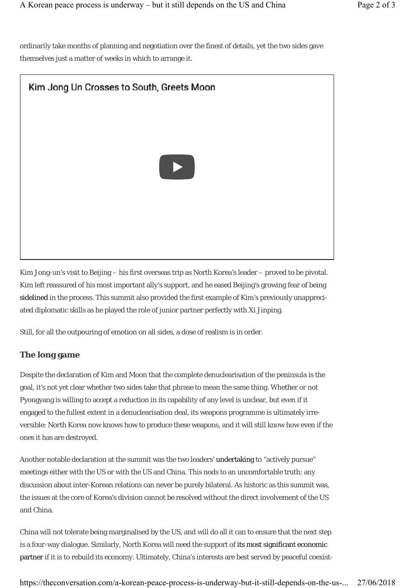ordinarily take months of planning and negotiation over the finest of details, yet the two sides gave themselves just a matter of weeks in which to arrange it.



Kim Jong-un's visit to Beijing – his first overseas trip as North Korea's leader – proved to be pivotal. Kim left reassured of his most important ally's support, and he eased Beijing's growing fear of being sidelined in the process. This summit also provided the first example of Kim's previously unappreciated diplomatic skills as he played the role of junior partner perfectly with Xi Jinping.

Still, for all the outpouring of emotion on all sides, a dose of realism is in order.

#### **The long game**

Despite the declaration of Kim and Moon that the complete denuclearisation of the peninsula is the goal, it's not yet clear whether two sides take that phrase to mean the same thing. Whether or not Pyongyang is willing to accept a reduction in its capability of any level is unclear, but even if it engaged to the fullest extent in a denuclearisation deal, its weapons programme is ultimately irreversible: North Korea now knows how to produce these weapons, and it will still know how even if the ones it has are destroyed.

Another notable declaration at the summit was the two leaders' undertaking to "actively pursue" meetings either with the US or with the US and China. This nods to an uncomfortable truth: any discussion about inter-Korean relations can never be purely bilateral. As historic as this summit was, the issues at the core of Korea's division cannot be resolved without the direct involvement of the US and China.

China will not tolerate being marginalised by the US, and will do all it can to ensure that the next step is a four-way dialogue. Similarly, North Korea will need the support of its most significant economic partner if it is to rebuild its economy. Ultimately, China's interests are best served by peaceful coexist-

https://theconversation.com/a-korean-peace-process-is-underway-but-it-still-depends-on-the-us-... 27/06/2018